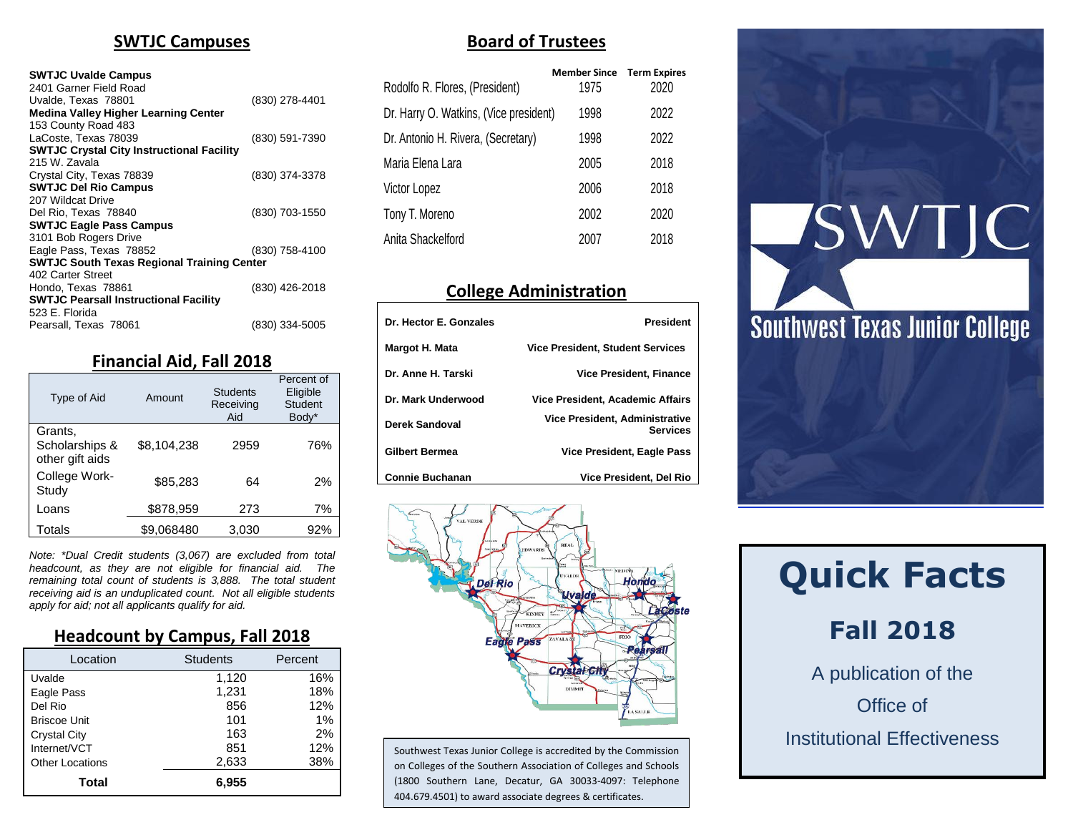#### **SWTJC Campuses**

#### **SWTJC Uvalde Campus**

| 2401 Garner Field Road                            |                |
|---------------------------------------------------|----------------|
| Uvalde, Texas 78801                               | (830) 278-4401 |
| <b>Medina Valley Higher Learning Center</b>       |                |
| 153 County Road 483                               |                |
| LaCoste. Texas 78039                              | (830) 591-7390 |
| <b>SWTJC Crystal City Instructional Facility</b>  |                |
| 215 W. Zavala                                     |                |
| Crystal City, Texas 78839                         | (830) 374-3378 |
| <b>SWTJC Del Rio Campus</b>                       |                |
| 207 Wildcat Drive                                 |                |
| Del Rio, Texas 78840                              | (830) 703-1550 |
| <b>SWTJC Eagle Pass Campus</b>                    |                |
| 3101 Bob Rogers Drive                             |                |
| Eagle Pass, Texas 78852                           | (830) 758-4100 |
| <b>SWTJC South Texas Regional Training Center</b> |                |
| 402 Carter Street                                 |                |
| Hondo. Texas 78861                                | (830) 426-2018 |
| <b>SWTJC Pearsall Instructional Facility</b>      |                |
| 523 E. Florida                                    |                |
| Pearsall, Texas 78061                             | (830) 334-5005 |

#### **Financial Aid, Fall 2018**

| Type of Aid                                  | Amount      | <b>Students</b><br>Receiving<br>Aid | Percent of<br>Eligible<br>Student<br>Body* |
|----------------------------------------------|-------------|-------------------------------------|--------------------------------------------|
| Grants,<br>Scholarships &<br>other gift aids | \$8,104,238 | 2959                                | 76%                                        |
| College Work-<br>Study                       | \$85,283    | 64                                  | 2%                                         |
| Loans                                        | \$878,959   | 273                                 | 7%                                         |
| Totals                                       | \$9,068480  | 3,030                               | 92%                                        |

*Note: \*Dual Credit students (3,067) are excluded from total headcount, as they are not eligible for financial aid. The remaining total count of students is 3,888. The total student receiving aid is an unduplicated count. Not all eligible students apply for aid; not all applicants qualify for aid.*

#### **Headcount by Campus, Fall 2018**

| Location               | <b>Students</b> | Percent |
|------------------------|-----------------|---------|
| Uvalde                 | 1,120           | 16%     |
| Eagle Pass             | 1,231           | 18%     |
| Del Rio                | 856             | 12%     |
| <b>Briscoe Unit</b>    | 101             | 1%      |
| <b>Crystal City</b>    | 163             | 2%      |
| Internet/VCT           | 851             | 12%     |
| <b>Other Locations</b> | 2,633           | 38%     |
| Total                  | 6.955           |         |

#### **Board of Trustees**

| Rodolfo R. Flores, (President)         | <b>Member Since</b><br>1975 | <b>Term Expires</b><br>2020 |
|----------------------------------------|-----------------------------|-----------------------------|
| Dr. Harry O. Watkins, (Vice president) | 1998                        | 2022                        |
| Dr. Antonio H. Rivera, (Secretary)     | 1998                        | 2022                        |
| Maria Elena Lara                       | 2005                        | 2018                        |
| Victor Lopez                           | 2006                        | 2018                        |
| Tony T. Moreno                         | 2002                        | 2020                        |
| Anita Shackelford                      | 2007                        | 2018                        |

### **College Administration**

| Dr. Hector E. Gonzales | <b>President</b>                                  |
|------------------------|---------------------------------------------------|
| Margot H. Mata         | <b>Vice President, Student Services</b>           |
| Dr. Anne H. Tarski     | <b>Vice President, Finance</b>                    |
| Dr. Mark Underwood     | Vice President, Academic Affairs                  |
| Derek Sandoval         | Vice President, Administrative<br><b>Services</b> |
| <b>Gilbert Bermea</b>  | Vice President, Eagle Pass                        |
| <b>Connie Buchanan</b> | Vice President, Del Rio                           |



Southwest Texas Junior College is accredited by the Commission on Colleges of the Southern Association of Colleges and Schools (1800 Southern Lane, Decatur, GA 30033-4097: Telephone 404.679.4501) to award associate degrees & certificates.



# **Quick Facts**

# **Fall 2018**

A publication of the Office of Institutional Effectiveness